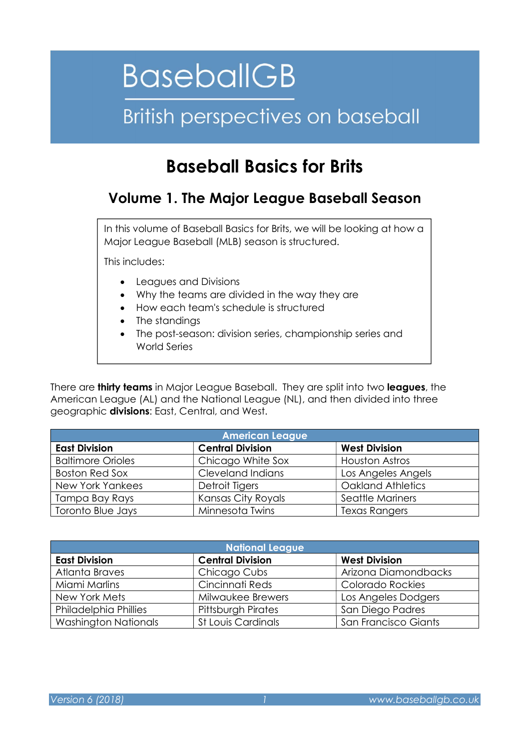# **BaseballGB**

## British perspectives on baseball

### Baseball Basics for Brits

### Volume 1. The Major League Baseball Season

In this volume of Baseball Basics for Brits, we will be looking at how a Major League Baseball (MLB) season is structured.

This includes:

- Leagues and Divisions
- Why the teams are divided in the way they are
- How each team's schedule is structured
- The standings
- The post-season: division series, championship series and World Series

There are **thirty teams** in Major League Baseball. They are split into two **leagues**, the American League (AL) and the National League (NL), and then divided into three geographic **divisions**: East, Central, and West.

| <b>American League</b>   |                         |                          |  |  |  |  |
|--------------------------|-------------------------|--------------------------|--|--|--|--|
| <b>East Division</b>     | <b>Central Division</b> | <b>West Division</b>     |  |  |  |  |
| <b>Baltimore Orioles</b> | Chicago White Sox       | <b>Houston Astros</b>    |  |  |  |  |
| <b>Boston Red Sox</b>    | Cleveland Indians       | Los Angeles Angels       |  |  |  |  |
| <b>New York Yankees</b>  | Detroit Tigers          | <b>Oakland Athletics</b> |  |  |  |  |
| Tampa Bay Rays           | Kansas City Royals      | Seattle Mariners         |  |  |  |  |
| Toronto Blue Jays        | Minnesota Twins         | <b>Texas Rangers</b>     |  |  |  |  |

| <b>National League</b>      |                           |                      |  |  |  |  |
|-----------------------------|---------------------------|----------------------|--|--|--|--|
| <b>East Division</b>        | <b>Central Division</b>   | <b>West Division</b> |  |  |  |  |
| Atlanta Braves              | Chicago Cubs              | Arizona Diamondbacks |  |  |  |  |
| Miami Marlins               | Cincinnati Reds           | Colorado Rockies     |  |  |  |  |
| New York Mets               | Milwaukee Brewers         | Los Angeles Dodgers  |  |  |  |  |
| Philadelphia Phillies       | <b>Pittsburgh Pirates</b> | San Diego Padres     |  |  |  |  |
| <b>Washington Nationals</b> | <b>St Louis Cardinals</b> | San Francisco Giants |  |  |  |  |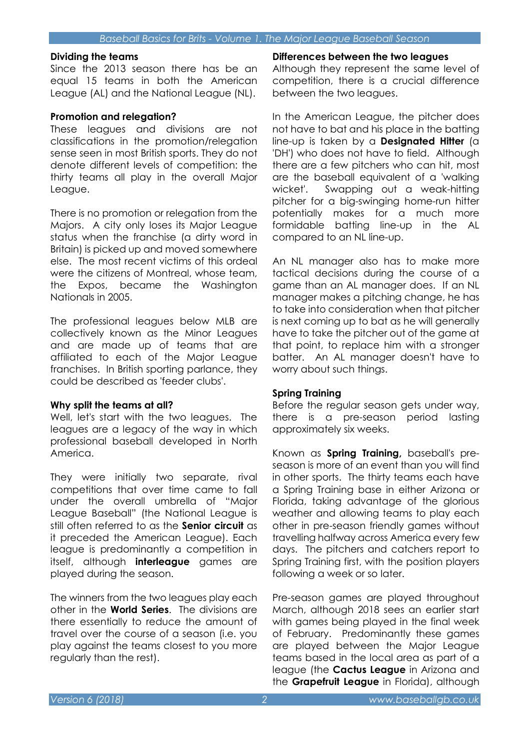#### Dividing the teams

Since the 2013 season there has be an equal 15 teams in both the American League (AL) and the National League (NL).

#### Promotion and relegation?

These leagues and divisions are not classifications in the promotion/relegation sense seen in most British sports. They do not denote different levels of competition: the thirty teams all play in the overall Major League.

There is no promotion or relegation from the Majors. A city only loses its Major League status when the franchise (a dirty word in Britain) is picked up and moved somewhere else. The most recent victims of this ordeal were the citizens of Montreal, whose team, the Expos, became the Washington Nationals in 2005.

The professional leagues below MLB are collectively known as the Minor Leagues and are made up of teams that are affiliated to each of the Major League franchises. In British sporting parlance, they could be described as 'feeder clubs'.

#### Why split the teams at all?

Well, let's start with the two leagues. The leagues are a legacy of the way in which professional baseball developed in North America.

They were initially two separate, rival competitions that over time came to fall under the overall umbrella of "Major League Baseball" (the National League is still often referred to as the **Senior circuit** as it preceded the American League). Each league is predominantly a competition in itself, although **interleague** games are played during the season.

The winners from the two leagues play each other in the **World Series**. The divisions are there essentially to reduce the amount of travel over the course of a season (i.e. you play against the teams closest to you more regularly than the rest).

#### Differences between the two leagues

Although they represent the same level of competition, there is a crucial difference between the two leagues.

In the American League, the pitcher does not have to bat and his place in the batting line-up is taken by a Designated Hitter (a 'DH') who does not have to field. Although there are a few pitchers who can hit, most are the baseball equivalent of a 'walking wicket'. Swapping out a weak-hitting pitcher for a big-swinging home-run hitter potentially makes for a much more formidable batting line-up in the AL compared to an NL line-up.

An NL manager also has to make more tactical decisions during the course of a game than an AL manager does. If an NL manager makes a pitching change, he has to take into consideration when that pitcher is next coming up to bat as he will generally have to take the pitcher out of the game at that point, to replace him with a stronger batter. An AL manager doesn't have to worry about such things.

#### Spring Training

Before the regular season gets under way, there is a pre-season period lasting approximately six weeks.

Known as **Spring Training**, baseball's preseason is more of an event than you will find in other sports. The thirty teams each have a Spring Training base in either Arizona or Florida, taking advantage of the glorious weather and allowing teams to play each other in pre-season friendly games without travelling halfway across America every few days. The pitchers and catchers report to Spring Training first, with the position players following a week or so later.

Pre-season games are played throughout March, although 2018 sees an earlier start with games being played in the final week of February. Predominantly these games are played between the Major League teams based in the local area as part of a league (the **Cactus League** in Arizona and the Grapefruit League in Florida), although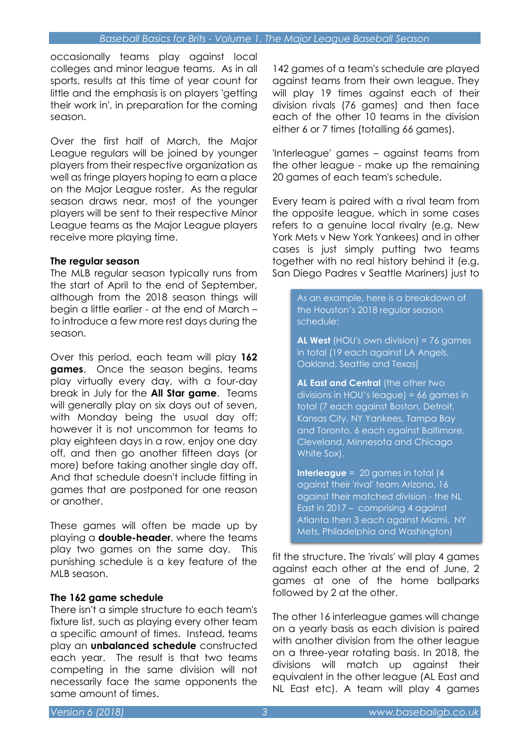occasionally teams play against local colleges and minor league teams. As in all sports, results at this time of year count for little and the emphasis is on players 'getting their work in', in preparation for the coming season.

Over the first half of March, the Major League regulars will be joined by younger players from their respective organization as well as fringe players hoping to earn a place on the Major League roster. As the regular season draws near, most of the younger players will be sent to their respective Minor League teams as the Major League players receive more playing time.

#### The regular season

The MLB regular season typically runs from the start of April to the end of September, although from the 2018 season things will begin a little earlier - at the end of March – to introduce a few more rest days during the season.

Over this period, each team will play 162 **games.** Once the season begins, teams play virtually every day, with a four-day break in July for the **All Star game**. Teams will generally play on six days out of seven, with Monday being the usual day off; however it is not uncommon for teams to play eighteen days in a row, enjoy one day off, and then go another fifteen days (or more) before taking another single day off. And that schedule doesn't include fitting in games that are postponed for one reason or another.

These games will often be made up by playing a **double-header**, where the teams play two games on the same day. This punishing schedule is a key feature of the MLB season.

#### The 162 game schedule

There isn't a simple structure to each team's fixture list, such as playing every other team a specific amount of times. Instead, teams play an unbalanced schedule constructed each year. The result is that two teams competing in the same division will not necessarily face the same opponents the same amount of times.

142 games of a team's schedule are played against teams from their own league. They will play 19 times against each of their division rivals (76 games) and then face each of the other 10 teams in the division either 6 or 7 times (totalling 66 games).

'Interleague' games – against teams from the other league - make up the remaining 20 games of each team's schedule.

Every team is paired with a rival team from the opposite league, which in some cases refers to a genuine local rivalry (e.g. New York Mets v New York Yankees) and in other cases is just simply putting two teams together with no real history behind it (e.g. San Diego Padres v Seattle Mariners) just to

> As an example, here is a breakdown of the Houston's 2018 regular season schedule:

AL West (HOU's own division) = 76 games in total (19 each against LA Angels, Oakland, Seattle and Texas)

AL East and Central (the other two divisions in HOU's league) = 66 games in total (7 each against Boston, Detroit, Kansas City, NY Yankees, Tampa Bay and Toronto. 6 each against Baltimore, Cleveland, Minnesota and Chicago White Sox).

**Interleague** =  $20$  games in total  $(4)$ against their 'rival' team Arizona, 16 against their matched division - the NL East in 2017 – comprising 4 against Atlanta then 3 each against Miami, NY Mets, Philadelphia and Washington)

fit the structure. The 'rivals' will play 4 games against each other at the end of June, 2 games at one of the home ballparks followed by 2 at the other.

The other 16 interleague games will change on a yearly basis as each division is paired with another division from the other league on a three-year rotating basis. In 2018, the divisions will match up against their equivalent in the other league (AL East and NL East etc). A team will play 4 games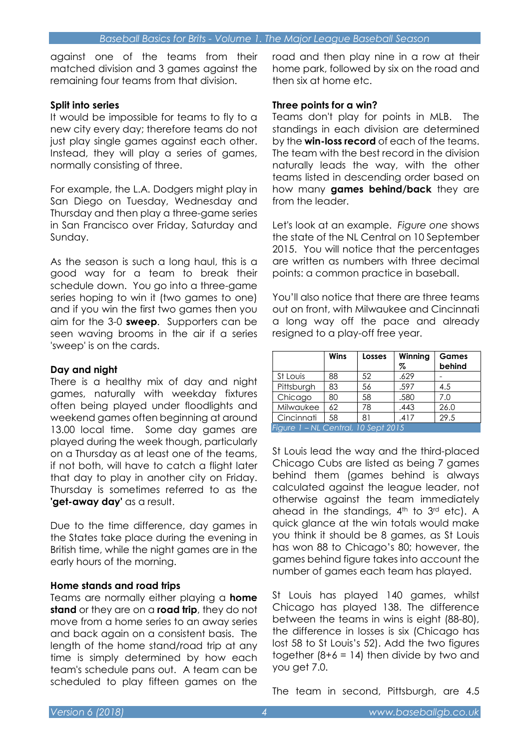against one of the teams from their matched division and 3 games against the remaining four teams from that division.

#### Split into series

It would be impossible for teams to fly to a new city every day; therefore teams do not just play single games against each other. Instead, they will play a series of games, normally consisting of three.

For example, the L.A. Dodgers might play in San Diego on Tuesday, Wednesday and Thursday and then play a three-game series in San Francisco over Friday, Saturday and Sunday.

As the season is such a long haul, this is a good way for a team to break their schedule down. You go into a three-game series hoping to win it (two games to one) and if you win the first two games then you aim for the 3-0 **sweep**. Supporters can be seen waving brooms in the air if a series 'sweep' is on the cards.

#### Day and night

There is a healthy mix of day and night games, naturally with weekday fixtures often being played under floodlights and weekend games often beginning at around 13.00 local time. Some day games are played during the week though, particularly on a Thursday as at least one of the teams, if not both, will have to catch a flight later that day to play in another city on Friday. Thursday is sometimes referred to as the 'get-away day' as a result.

Due to the time difference, day games in the States take place during the evening in British time, while the night games are in the early hours of the morning.

#### Home stands and road trips

Teams are normally either playing a home stand or they are on a road trip, they do not move from a home series to an away series and back again on a consistent basis. The length of the home stand/road trip at any time is simply determined by how each team's schedule pans out. A team can be scheduled to play fifteen games on the

road and then play nine in a row at their home park, followed by six on the road and then six at home etc.

#### Three points for a win?

Teams don't play for points in MLB. The standings in each division are determined by the **win-loss record** of each of the teams. The team with the best record in the division naturally leads the way, with the other teams listed in descending order based on how many games behind/back they are from the leader.

Let's look at an example. Figure one shows the state of the NL Central on 10 September 2015. You will notice that the percentages are written as numbers with three decimal points: a common practice in baseball.

You'll also notice that there are three teams out on front, with Milwaukee and Cincinnati a long way off the pace and already resigned to a play-off free year.

|                                     | <b>Wins</b> | Losses | Winning<br>% | <b>Games</b><br>behind |  |
|-------------------------------------|-------------|--------|--------------|------------------------|--|
| St Louis                            | 88          | 52     | .629         |                        |  |
| Pittsburgh                          | 83          | 56     | .597         | 4.5                    |  |
| Chicago                             | 80          | 58     | .580         | 7.0                    |  |
| Milwaukee                           | 62          | 78     | .443         | 26.0                   |  |
| Cincinnati                          | 58          | 81     | .417         | 29.5                   |  |
| Figure 1 - NL Central, 10 Sept 2015 |             |        |              |                        |  |

St Louis lead the way and the third-placed Chicago Cubs are listed as being 7 games behind them (games behind is always calculated against the league leader, not otherwise against the team immediately ahead in the standings, 4<sup>th</sup> to 3<sup>rd</sup> etc). A quick glance at the win totals would make you think it should be 8 games, as St Louis has won 88 to Chicago's 80; however, the games behind figure takes into account the number of games each team has played.

St Louis has played 140 games, whilst Chicago has played 138. The difference between the teams in wins is eight (88-80), the difference in losses is six (Chicago has lost 58 to St Louis's 52). Add the two figures together  $(8+6 = 14)$  then divide by two and you get 7.0.

The team in second, Pittsburgh, are 4.5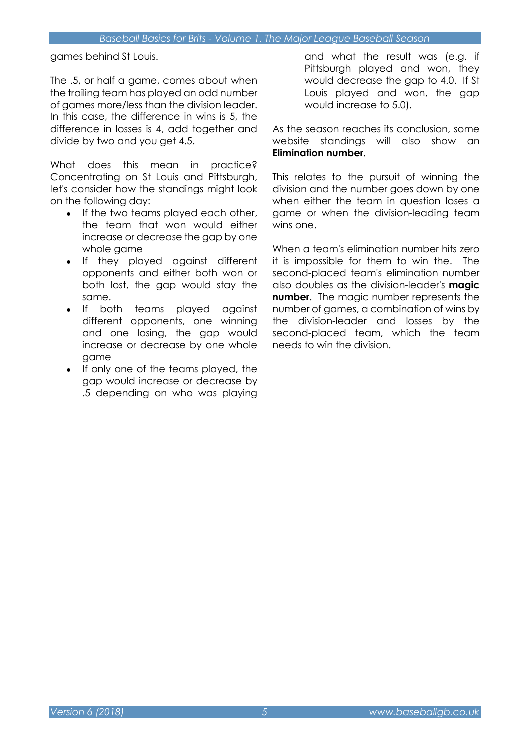games behind St Louis.

The .5, or half a game, comes about when the trailing team has played an odd number of games more/less than the division leader. In this case, the difference in wins is 5, the difference in losses is 4, add together and divide by two and you get 4.5.

What does this mean in practice? Concentrating on St Louis and Pittsburgh, let's consider how the standings might look on the following day:

- If the two teams played each other, the team that won would either increase or decrease the gap by one whole game
- If they played against different opponents and either both won or both lost, the gap would stay the same.
- If both teams played against different opponents, one winning and one losing, the gap would increase or decrease by one whole game
- If only one of the teams played, the gap would increase or decrease by .5 depending on who was playing

and what the result was (e.g. if Pittsburgh played and won, they would decrease the gap to 4.0. If St Louis played and won, the gap would increase to 5.0).

As the season reaches its conclusion, some website standings will also show an Elimination number.

This relates to the pursuit of winning the division and the number goes down by one when either the team in question loses a game or when the division-leading team wins one.

When a team's elimination number hits zero it is impossible for them to win the. The second-placed team's elimination number also doubles as the division-leader's **magic** number. The magic number represents the number of games, a combination of wins by the division-leader and losses by the second-placed team, which the team needs to win the division.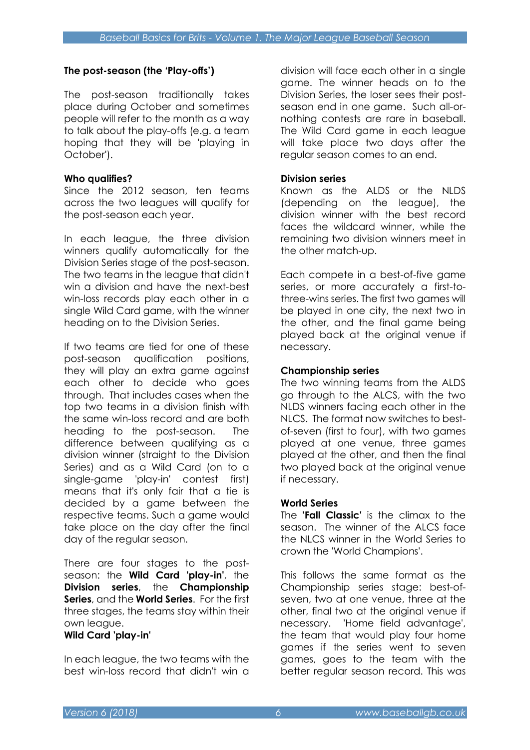#### The post-season (the 'Play-offs')

The post-season traditionally takes place during October and sometimes people will refer to the month as a way to talk about the play-offs (e.g. a team hoping that they will be 'playing in October').

#### Who qualifies?

Since the 2012 season, ten teams across the two leagues will qualify for the post-season each year.

In each league, the three division winners qualify automatically for the Division Series stage of the post-season. The two teams in the league that didn't win a division and have the next-best win-loss records play each other in a single Wild Card game, with the winner heading on to the Division Series.

If two teams are tied for one of these post-season qualification positions, they will play an extra game against each other to decide who goes through. That includes cases when the top two teams in a division finish with the same win-loss record and are both heading to the post-season. The difference between qualifying as a division winner (straight to the Division Series) and as a Wild Card (on to a single-game 'play-in' contest first) means that it's only fair that a tie is decided by a game between the respective teams. Such a game would take place on the day after the final day of the regular season.

There are four stages to the postseason: the Wild Card 'play-in', the Division series, the Championship Series, and the World Series. For the first three stages, the teams stay within their own league.

#### Wild Card 'play-in'

In each league, the two teams with the best win-loss record that didn't win a

division will face each other in a single game. The winner heads on to the Division Series, the loser sees their postseason end in one game. Such all-ornothing contests are rare in baseball. The Wild Card game in each league will take place two days after the regular season comes to an end.

#### Division series

Known as the ALDS or the NLDS (depending on the league), the division winner with the best record faces the wildcard winner, while the remaining two division winners meet in the other match-up.

Each compete in a best-of-five game series, or more accurately a first-tothree-wins series. The first two games will be played in one city, the next two in the other, and the final game being played back at the original venue if necessary.

#### Championship series

The two winning teams from the ALDS go through to the ALCS, with the two NLDS winners facing each other in the NLCS. The format now switches to bestof-seven (first to four), with two games played at one venue, three games played at the other, and then the final two played back at the original venue if necessary.

#### World Series

The **'Fall Classic'** is the climax to the season. The winner of the ALCS face the NLCS winner in the World Series to crown the 'World Champions'.

This follows the same format as the Championship series stage: best-ofseven, two at one venue, three at the other, final two at the original venue if necessary. 'Home field advantage', the team that would play four home games if the series went to seven games, goes to the team with the better regular season record. This was